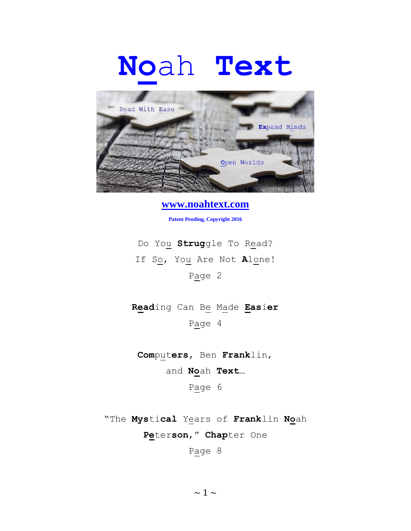## **No**ah **Text**



**www.noahtext.com**

**Patent Pending, Copyright 2016**

Do You **Strug**gle To Read? If So, You Are Not **A**lone! Page 2

**Read**ing Can Be Made **Eas**i**er** Page 4

**Com**put**ers,** Ben **Frank**lin,

and **No**ah **Text**…

Page 6

"The **Mys**ti**cal** Years of **Frank**lin **No**ah **Pe**ter**son**," **Chap**ter One

Page 8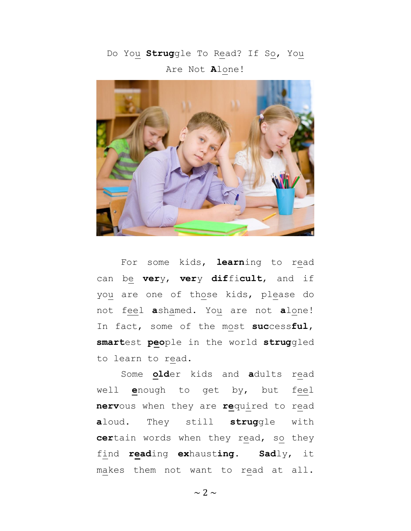Do You **Strug**gle To Read? If So, You Are Not **A**lone!



For some kids, **learn**ing to read can be **ver**y, **ver**y **dif**fi**cult**, and if you are one of those kids, please do not feel **a**shamed. You are not **a**lone! In fact, some of the most **suc**cess**ful**, **smart**est **peo**ple in the world **strug**gled to learn to read.

Some **old**er kids and **a**dults read well **e**nough to get by, but feel **nerv**ous when they are **re**quired to read **a**loud. They still **strug**gle with **cer**tain words when they read, so they find **read**ing **ex**haust**ing**. **Sad**ly, it makes them not want to read at all.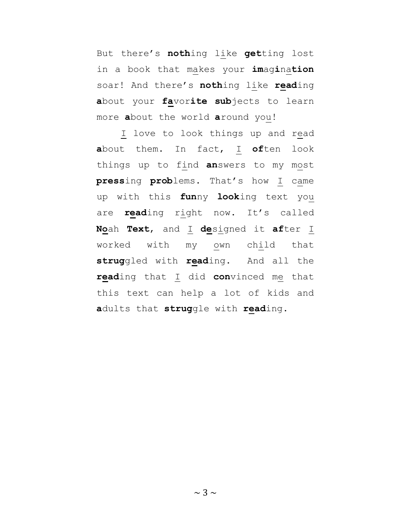But there's **noth**ing like **get**ting lost in a book that makes your **im**ag**i**na**tion** soar! And there's **noth**ing like **read**ing **a**bout your **fa**vor**ite sub**jects to learn more **a**bout the world **a**round you!

I love to look things up and read **a**bout them. In fact, I **of**ten look things up to find **an**swers to my most **press**ing **prob**lems. That's how I came up with this **fun**ny **look**ing text you are **read**ing right now. It's called **No**ah **Text**, and I **de**signed it **af**ter I worked with my own child that **strug**gled with **read**ing. And all the **read**ing that I did **con**vinced me that this text can help a lot of kids and **a**dults that **strug**gle with **read**ing.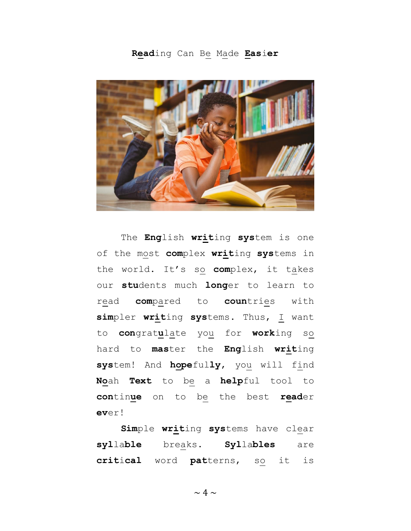**Read**ing Can Be Made **Eas**i**er**



The **Eng**lish **writ**ing **sys**tem is one of the most **com**plex **writ**ing **sys**tems in the world. It's so **com**plex, it takes our **stu**dents much **long**er to learn to read **com**pared to **coun**tries with **sim**pler **writ**ing **sys**tems. Thus, I want to **con**grat**u**late you for **work**ing so hard to **mas**ter the **Eng**lish **writ**ing **sys**tem! And **hope**ful**ly**, you will find **No**ah **Text** to be a **help**ful tool to **con**tin**ue** on to be the best **read**er **ev**er!

**Sim**ple **writ**ing **sys**tems have clear **syl**la**ble** breaks. **Syl**la**bles** are **crit**i**cal** word **pat**terns, so it is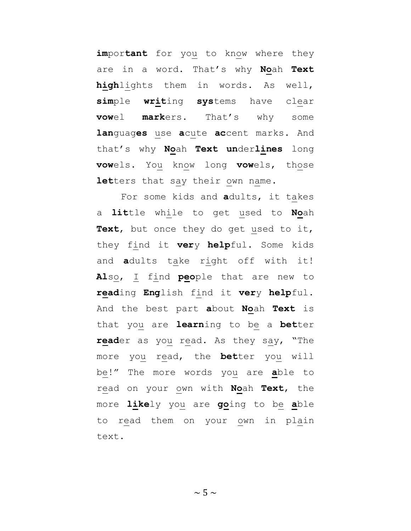**im**por**tant** for you to know where they are in a word. That's why **No**ah **Text high**lights them in words. As well, **sim**ple **writ**ing **sys**tems have clear **vow**el **mark**ers. That's why some **lan**guag**es** use **a**cute **ac**cent marks. And that's why **No**ah **Text un**der**lines** long **vow**els. You know long **vow**els, those **let**ters that say their own name.

For some kids and **a**dults, it takes a **lit**tle while to get used to **No**ah **Text**, but once they do get used to it, they find it **ver**y **help**ful. Some kids and **a**dults take right off with it! **Al**so, I find **peo**ple that are new to **read**ing **Eng**lish find it **ver**y **help**ful. And the best part **a**bout **No**ah **Text** is that you are **learn**ing to be a **bet**ter **read**er as you read. As they say, "The more you read, the **bet**ter you will be!" The more words you are **a**ble to read on your own with **No**ah **Text**, the more **like**ly you are **go**ing to be **a**ble to read them on your own in plain text.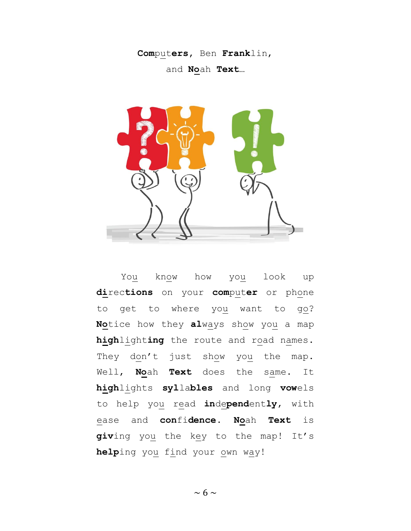**Com**put**ers,** Ben **Frank**lin,

and **No**ah **Text**…



You know how you look up **di**rec**tions** on your **com**put**er** or phone to get to where you want to go? **No**tice how they **al**ways show you a map **high**light**ing** the route and road names. They don't just show you the map. Well, **No**ah **Text** does the same. It **high**lights **syl**la**bles** and long **vow**els to help you read **in**de**pend**ent**ly**, with ease and **con**fi**dence**. **No**ah **Text** is **giv**ing you the key to the map! It's **help**ing you find your own way!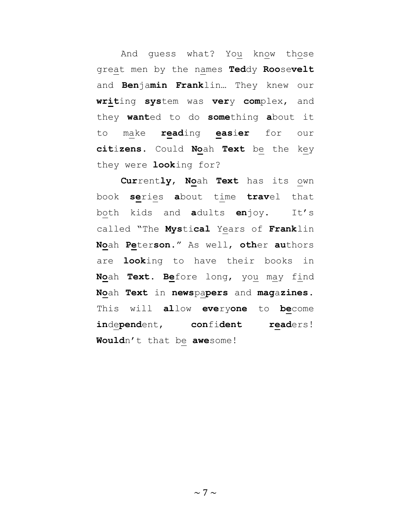And guess what? You know those great men by the names **Ted**dy **Roo**se**velt** and **Ben**ja**min Frank**lin… They knew our **writ**ing **sys**tem was **ver**y **com**plex, and they **want**ed to do **some**thing **a**bout it to make **read**ing **eas**i**er** for our **cit**i**zens**. Could **No**ah **Text** be the key they were **look**ing for?

**Cur**rent**ly**, **No**ah **Text** has its own book **se**ries **a**bout time **trav**el that both kids and **a**dults **en**joy. It's called "The **Mys**ti**cal** Years of **Frank**lin **No**ah **Pe**ter**son**." As well, **oth**er **au**thors are **look**ing to have their books in **No**ah **Text**. **Be**fore long, you may find **No**ah **Text** in **news**pa**pers** and **mag**a**zines**. This will **al**low **eve**ry**one** to **be**come **in**de**pend**ent, **con**fi**dent read**ers! **Would**n't that be **awe**some!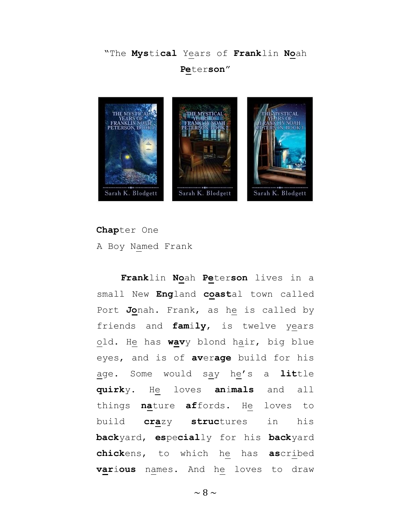## "The **Mys**ti**cal** Years of **Frank**lin **No**ah **Pe**ter**son**"



**Chap**ter One A Boy Named Frank

**Frank**lin **No**ah **Pe**ter**son** lives in a small New **Eng**land **coast**al town called Port **Jo**nah. Frank, as he is called by friends and **fam**i**ly**, is twelve years old. He has **wav**y blond hair, big blue eyes, and is of **av**er**age** build for his age. Some would say he's a **lit**tle **quirk**y. He loves **an**i**mals** and all things **na**ture **af**fords. He loves to build **cra**zy **struc**tures in his **back**yard, **es**pe**cial**ly for his **back**yard **chick**ens, to which he has **as**cribed **var**i**ous** names. And he loves to draw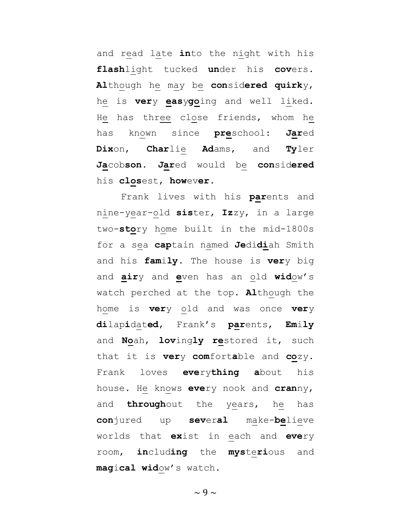and read late **in**to the night with his **flash**light tucked **un**der his **cov**ers. **Al**though he may be **con**sid**ered quirk**y, he is **ver**y **eas**y**go**ing and well liked. He has three close friends, whom he has known since **pre**school: **Jar**ed **Dix**on, **Char**lie **Ad**ams, and **Ty**ler **Ja**cob**son**. **Jar**ed would be **con**sid**ered** his **clos**est, **how**ev**er**.

Frank lives with his **par**ents and nine-year-old **sis**ter, **Iz**zy, in a large two-**sto**ry home built in the mid-1800s for a sea **cap**tain named **Je**di**di**ah Smith and his **fam**i**ly**. The house is **ver**y big and **air**y and **e**ven has an old **wid**ow's watch perched at the top. **Al**though the home is **ver**y old and was once **ver**y **di**lap**i**dat**ed**, Frank's **par**ents, **Em**i**ly** and **No**ah, **lov**ing**ly re**stored it, such that it is **ver**y **com**fort**a**ble and **co**zy. Frank loves **eve**ry**thing a**bout his house. He knows **eve**ry nook and **cran**ny, and **through**out the years, he has **con**jured up **sev**er**al** make-**be**lieve worlds that **ex**ist in each and **eve**ry room, **in**clud**ing** the **mys**te**ri**ous and **mag**i**cal wid**ow's watch.

 $\sim$  9  $\sim$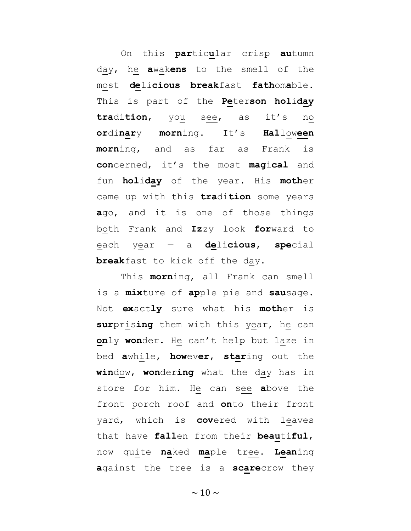On this **par**tic**u**lar crisp **au**tumn day, he **a**wak**ens** to the smell of the most **de**li**cious break**fast **fath**om**a**ble. This is part of the **Pe**ter**son hol**i**day tra**di**tion**, you see, as it's no **or**di**nar**y **morn**ing. It's **Hal**low**een morn**ing, and as far as Frank is **con**cerned, it's the most **mag**i**cal** and fun **hol**i**day** of the year. His **moth**er came up with this **tra**di**tion** some years **a**go, and it is one of those things both Frank and **Iz**zy look **for**ward to each year — a **de**li**cious**, **spe**cial **break**fast to kick off the day.

This **morn**ing, all Frank can smell is a **mix**ture of **ap**ple pie and **sau**sage. Not **ex**act**ly** sure what his **moth**er is **sur**pris**ing** them with this year, he can **on**ly **won**der. He can't help but laze in bed **a**while, **how**ev**er**, **star**ing out the **win**dow, **won**der**ing** what the day has in store for him. He can see **a**bove the front porch roof and **on**to their front yard, which is **cov**ered with leaves that have **fall**en from their **beau**ti**ful**, now quite **na**ked **ma**ple tree. **Lean**ing **a**gainst the tree is a **scare**crow they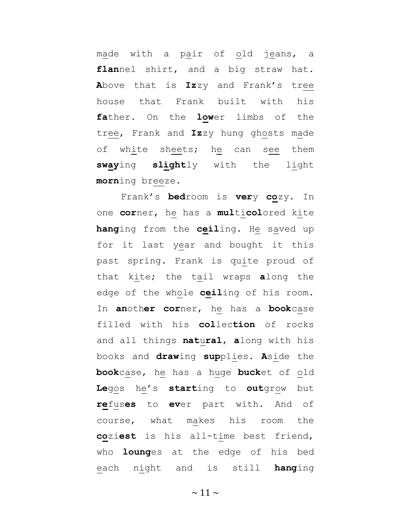made with a pair of old jeans, a **flan**nel shirt, and a big straw hat. **A**bove that is **Iz**zy and Frank's tree house that Frank built with his **fa**ther. On the **low**er limbs of the tree, Frank and **Iz**zy hung ghosts made of white sheets; he can see them **sway**ing **slight**ly with the light **morn**ing breeze.

Frank's **bed**room is **ver**y **co**zy. In one **cor**ner, he has a **mul**ti**col**ored kite **hang**ing from the **ceil**ing. He saved up for it last year and bought it this past spring. Frank is quite proud of that kite; the tail wraps **a**long the edge of the whole **ceil**ing of his room. In **an**oth**er cor**ner, he has a **book**case filled with his **col**lec**tion** of rocks and all things **nat**u**ral**, **a**long with his books and **draw**ing **sup**plies. **A**side the **book**case, he has a huge **buck**et of old **Le**gos he's **start**ing to **out**grow but **re**fus**es** to **ev**er part with. And of course, what makes his room the **co**zi**est** is his all-time best friend, who **loung**es at the edge of his bed each night and is still **hang**ing